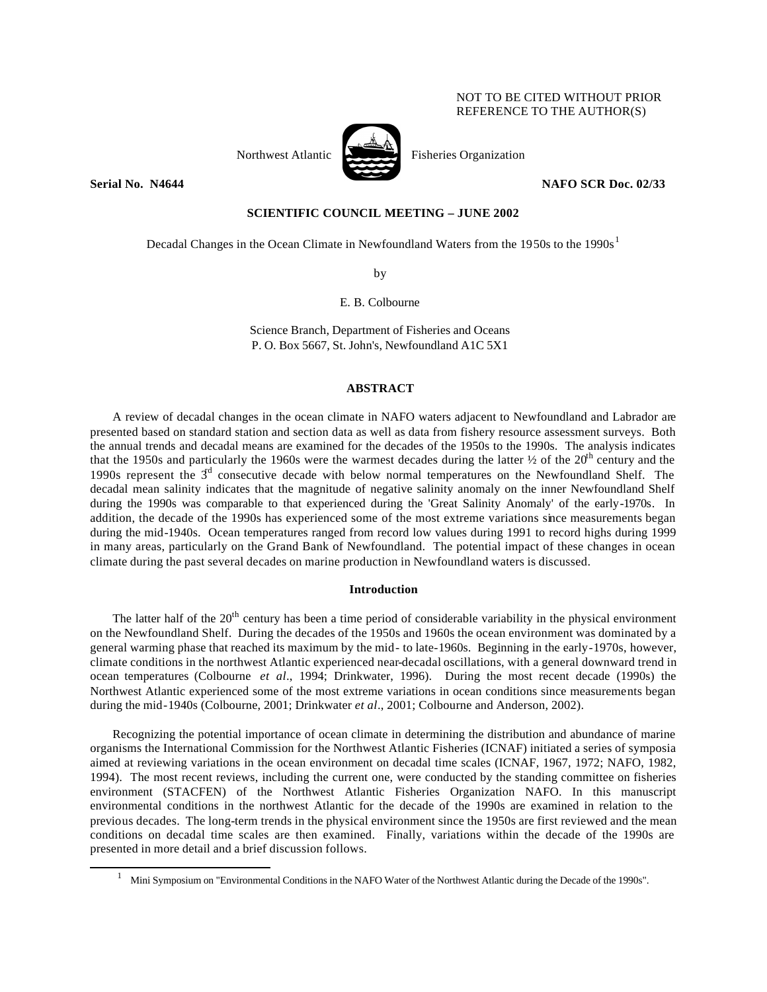# NOT TO BE CITED WITHOUT PRIOR REFERENCE TO THE AUTHOR(S)



Northwest Atlantic Fisheries Organization

**Serial No. N4644 NAFO SCR Doc. 02/33** 

# **SCIENTIFIC COUNCIL MEETING – JUNE 2002**

Decadal Changes in the Ocean Climate in Newfoundland Waters from the 1950s to the 1990s<sup>1</sup>

by

E. B. Colbourne

Science Branch, Department of Fisheries and Oceans P. O. Box 5667, St. John's, Newfoundland A1C 5X1

## **ABSTRACT**

A review of decadal changes in the ocean climate in NAFO waters adjacent to Newfoundland and Labrador are presented based on standard station and section data as well as data from fishery resource assessment surveys. Both the annual trends and decadal means are examined for the decades of the 1950s to the 1990s. The analysis indicates that the 1950s and particularly the 1960s were the warmest decades during the latter  $\frac{1}{2}$  of the 20<sup>th</sup> century and the 1990s represent the  $3<sup>d</sup>$  consecutive decade with below normal temperatures on the Newfoundland Shelf. The decadal mean salinity indicates that the magnitude of negative salinity anomaly on the inner Newfoundland Shelf during the 1990s was comparable to that experienced during the 'Great Salinity Anomaly' of the early-1970s. In addition, the decade of the 1990s has experienced some of the most extreme variations since measurements began during the mid-1940s. Ocean temperatures ranged from record low values during 1991 to record highs during 1999 in many areas, particularly on the Grand Bank of Newfoundland. The potential impact of these changes in ocean climate during the past several decades on marine production in Newfoundland waters is discussed.

## **Introduction**

The latter half of the 20<sup>th</sup> century has been a time period of considerable variability in the physical environment on the Newfoundland Shelf. During the decades of the 1950s and 1960s the ocean environment was dominated by a general warming phase that reached its maximum by the mid- to late-1960s. Beginning in the early-1970s, however, climate conditions in the northwest Atlantic experienced near-decadal oscillations, with a general downward trend in ocean temperatures (Colbourne *et al*., 1994; Drinkwater, 1996). During the most recent decade (1990s) the Northwest Atlantic experienced some of the most extreme variations in ocean conditions since measurements began during the mid-1940s (Colbourne, 2001; Drinkwater *et al*., 2001; Colbourne and Anderson, 2002).

Recognizing the potential importance of ocean climate in determining the distribution and abundance of marine organisms the International Commission for the Northwest Atlantic Fisheries (ICNAF) initiated a series of symposia aimed at reviewing variations in the ocean environment on decadal time scales (ICNAF, 1967, 1972; NAFO, 1982, 1994). The most recent reviews, including the current one, were conducted by the standing committee on fisheries environment (STACFEN) of the Northwest Atlantic Fisheries Organization NAFO. In this manuscript environmental conditions in the northwest Atlantic for the decade of the 1990s are examined in relation to the previous decades. The long-term trends in the physical environment since the 1950s are first reviewed and the mean conditions on decadal time scales are then examined. Finally, variations within the decade of the 1990s are presented in more detail and a brief discussion follows.

l

<sup>1</sup> Mini Symposium on "Environmental Conditions in the NAFO Water of the Northwest Atlantic during the Decade of the 1990s".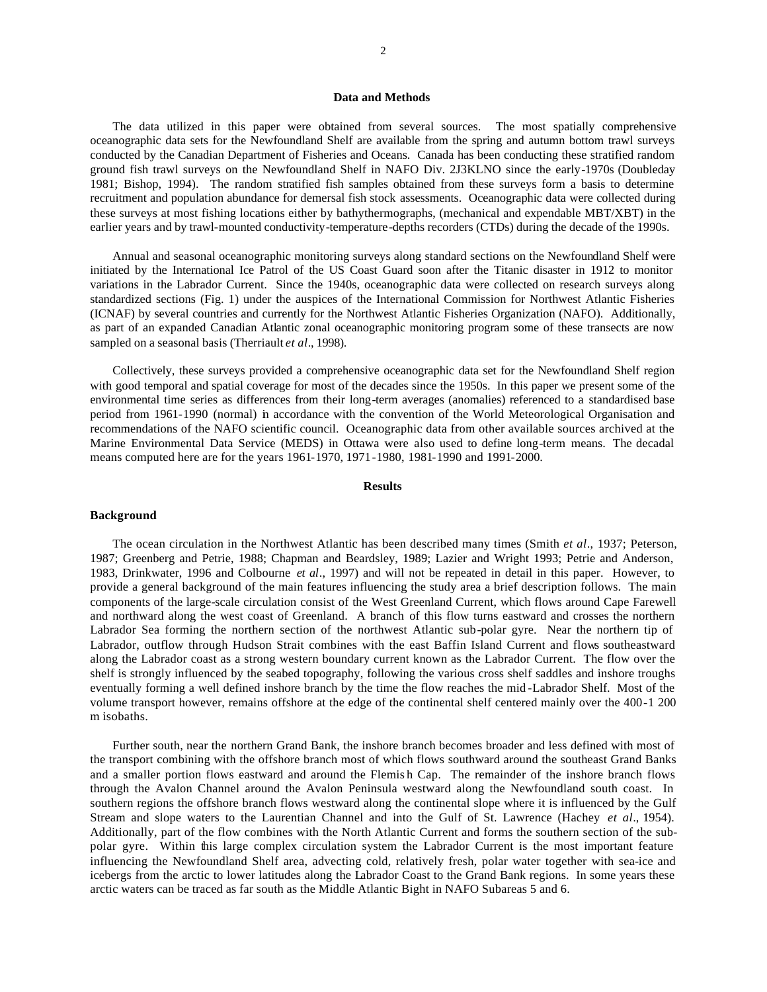## **Data and Methods**

The data utilized in this paper were obtained from several sources. The most spatially comprehensive oceanographic data sets for the Newfoundland Shelf are available from the spring and autumn bottom trawl surveys conducted by the Canadian Department of Fisheries and Oceans. Canada has been conducting these stratified random ground fish trawl surveys on the Newfoundland Shelf in NAFO Div. 2J3KLNO since the early-1970s (Doubleday 1981; Bishop, 1994). The random stratified fish samples obtained from these surveys form a basis to determine recruitment and population abundance for demersal fish stock assessments. Oceanographic data were collected during these surveys at most fishing locations either by bathythermographs, (mechanical and expendable MBT/XBT) in the earlier years and by trawl-mounted conductivity-temperature-depths recorders (CTDs) during the decade of the 1990s.

Annual and seasonal oceanographic monitoring surveys along standard sections on the Newfoundland Shelf were initiated by the International Ice Patrol of the US Coast Guard soon after the Titanic disaster in 1912 to monitor variations in the Labrador Current. Since the 1940s, oceanographic data were collected on research surveys along standardized sections (Fig. 1) under the auspices of the International Commission for Northwest Atlantic Fisheries (ICNAF) by several countries and currently for the Northwest Atlantic Fisheries Organization (NAFO). Additionally, as part of an expanded Canadian Atlantic zonal oceanographic monitoring program some of these transects are now sampled on a seasonal basis (Therriault *et al*., 1998).

Collectively, these surveys provided a comprehensive oceanographic data set for the Newfoundland Shelf region with good temporal and spatial coverage for most of the decades since the 1950s. In this paper we present some of the environmental time series as differences from their long-term averages (anomalies) referenced to a standardised base period from 1961-1990 (normal) in accordance with the convention of the World Meteorological Organisation and recommendations of the NAFO scientific council. Oceanographic data from other available sources archived at the Marine Environmental Data Service (MEDS) in Ottawa were also used to define long-term means. The decadal means computed here are for the years 1961-1970, 1971-1980, 1981-1990 and 1991-2000.

## **Results**

### **Background**

The ocean circulation in the Northwest Atlantic has been described many times (Smith *et al*., 1937; Peterson, 1987; Greenberg and Petrie, 1988; Chapman and Beardsley, 1989; Lazier and Wright 1993; Petrie and Anderson, 1983, Drinkwater, 1996 and Colbourne *et al*., 1997) and will not be repeated in detail in this paper. However, to provide a general background of the main features influencing the study area a brief description follows. The main components of the large-scale circulation consist of the West Greenland Current, which flows around Cape Farewell and northward along the west coast of Greenland. A branch of this flow turns eastward and crosses the northern Labrador Sea forming the northern section of the northwest Atlantic sub-polar gyre. Near the northern tip of Labrador, outflow through Hudson Strait combines with the east Baffin Island Current and flows southeastward along the Labrador coast as a strong western boundary current known as the Labrador Current. The flow over the shelf is strongly influenced by the seabed topography, following the various cross shelf saddles and inshore troughs eventually forming a well defined inshore branch by the time the flow reaches the mid -Labrador Shelf. Most of the volume transport however, remains offshore at the edge of the continental shelf centered mainly over the 400-1 200 m isobaths.

Further south, near the northern Grand Bank, the inshore branch becomes broader and less defined with most of the transport combining with the offshore branch most of which flows southward around the southeast Grand Banks and a smaller portion flows eastward and around the Flemis h Cap. The remainder of the inshore branch flows through the Avalon Channel around the Avalon Peninsula westward along the Newfoundland south coast. In southern regions the offshore branch flows westward along the continental slope where it is influenced by the Gulf Stream and slope waters to the Laurentian Channel and into the Gulf of St. Lawrence (Hachey *et al*., 1954). Additionally, part of the flow combines with the North Atlantic Current and forms the southern section of the subpolar gyre. Within this large complex circulation system the Labrador Current is the most important feature influencing the Newfoundland Shelf area, advecting cold, relatively fresh, polar water together with sea-ice and icebergs from the arctic to lower latitudes along the Labrador Coast to the Grand Bank regions. In some years these arctic waters can be traced as far south as the Middle Atlantic Bight in NAFO Subareas 5 and 6.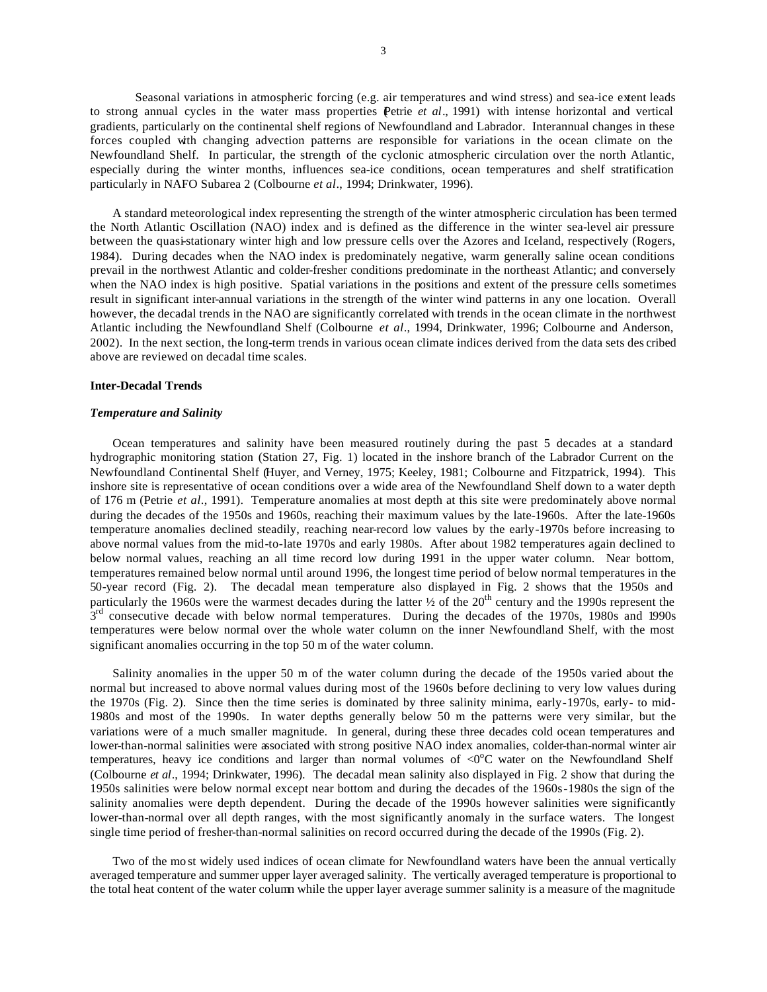Seasonal variations in atmospheric forcing (e.g. air temperatures and wind stress) and sea-ice extent leads to strong annual cycles in the water mass properties Petrie *et al.*, 1991) with intense horizontal and vertical gradients, particularly on the continental shelf regions of Newfoundland and Labrador. Interannual changes in these forces coupled with changing advection patterns are responsible for variations in the ocean climate on the Newfoundland Shelf. In particular, the strength of the cyclonic atmospheric circulation over the north Atlantic, especially during the winter months, influences sea-ice conditions, ocean temperatures and shelf stratification particularly in NAFO Subarea 2 (Colbourne *et al*., 1994; Drinkwater, 1996).

A standard meteorological index representing the strength of the winter atmospheric circulation has been termed the North Atlantic Oscillation (NAO) index and is defined as the difference in the winter sea-level air pressure between the quasi-stationary winter high and low pressure cells over the Azores and Iceland, respectively (Rogers, 1984). During decades when the NAO index is predominately negative, warm generally saline ocean conditions prevail in the northwest Atlantic and colder-fresher conditions predominate in the northeast Atlantic; and conversely when the NAO index is high positive. Spatial variations in the positions and extent of the pressure cells sometimes result in significant inter-annual variations in the strength of the winter wind patterns in any one location. Overall however, the decadal trends in the NAO are significantly correlated with trends in the ocean climate in the northwest Atlantic including the Newfoundland Shelf (Colbourne *et al*., 1994, Drinkwater, 1996; Colbourne and Anderson, 2002). In the next section, the long-term trends in various ocean climate indices derived from the data sets des cribed above are reviewed on decadal time scales.

## **Inter-Decadal Trends**

## *Temperature and Salinity*

Ocean temperatures and salinity have been measured routinely during the past 5 decades at a standard hydrographic monitoring station (Station 27, Fig. 1) located in the inshore branch of the Labrador Current on the Newfoundland Continental Shelf (Huyer, and Verney, 1975; Keeley, 1981; Colbourne and Fitzpatrick, 1994). This inshore site is representative of ocean conditions over a wide area of the Newfoundland Shelf down to a water depth of 176 m (Petrie *et al*., 1991). Temperature anomalies at most depth at this site were predominately above normal during the decades of the 1950s and 1960s, reaching their maximum values by the late-1960s. After the late-1960s temperature anomalies declined steadily, reaching near-record low values by the early-1970s before increasing to above normal values from the mid-to-late 1970s and early 1980s. After about 1982 temperatures again declined to below normal values, reaching an all time record low during 1991 in the upper water column. Near bottom, temperatures remained below normal until around 1996, the longest time period of below normal temperatures in the 50-year record (Fig. 2). The decadal mean temperature also displayed in Fig. 2 shows that the 1950s and particularly the 1960s were the warmest decades during the latter <sup>1</sup>/2 of the 20<sup>th</sup> century and the 1990s represent the 3<sup>rd</sup> consecutive decade with below normal temperatures. During the decades of the 1970s, 1980s and 1990s temperatures were below normal over the whole water column on the inner Newfoundland Shelf, with the most significant anomalies occurring in the top 50 m of the water column.

Salinity anomalies in the upper 50 m of the water column during the decade of the 1950s varied about the normal but increased to above normal values during most of the 1960s before declining to very low values during the 1970s (Fig. 2). Since then the time series is dominated by three salinity minima, early-1970s, early- to mid-1980s and most of the 1990s. In water depths generally below 50 m the patterns were very similar, but the variations were of a much smaller magnitude. In general, during these three decades cold ocean temperatures and lower-than-normal salinities were associated with strong positive NAO index anomalies, colder-than-normal winter air temperatures, heavy ice conditions and larger than normal volumes of  $\langle 0^{\circ}$ C water on the Newfoundland Shelf (Colbourne *et al*., 1994; Drinkwater, 1996). The decadal mean salinity also displayed in Fig. 2 show that during the 1950s salinities were below normal except near bottom and during the decades of the 1960s-1980s the sign of the salinity anomalies were depth dependent. During the decade of the 1990s however salinities were significantly lower-than-normal over all depth ranges, with the most significantly anomaly in the surface waters. The longest single time period of fresher-than-normal salinities on record occurred during the decade of the 1990s (Fig. 2).

Two of the mo st widely used indices of ocean climate for Newfoundland waters have been the annual vertically averaged temperature and summer upper layer averaged salinity. The vertically averaged temperature is proportional to the total heat content of the water column while the upper layer average summer salinity is a measure of the magnitude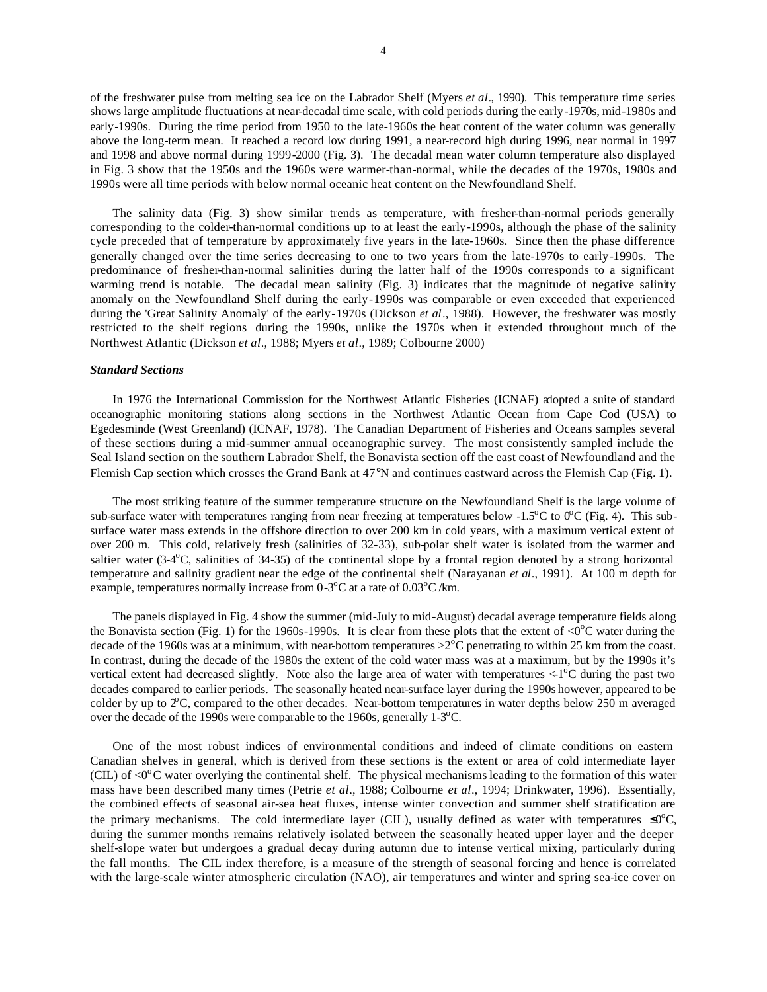of the freshwater pulse from melting sea ice on the Labrador Shelf (Myers *et al*., 1990). This temperature time series shows large amplitude fluctuations at near-decadal time scale, with cold periods during the early-1970s, mid-1980s and early-1990s. During the time period from 1950 to the late-1960s the heat content of the water column was generally above the long-term mean. It reached a record low during 1991, a near-record high during 1996, near normal in 1997 and 1998 and above normal during 1999-2000 (Fig. 3). The decadal mean water column temperature also displayed in Fig. 3 show that the 1950s and the 1960s were warmer-than-normal, while the decades of the 1970s, 1980s and 1990s were all time periods with below normal oceanic heat content on the Newfoundland Shelf.

The salinity data (Fig. 3) show similar trends as temperature, with fresher-than-normal periods generally corresponding to the colder-than-normal conditions up to at least the early-1990s, although the phase of the salinity cycle preceded that of temperature by approximately five years in the late-1960s. Since then the phase difference generally changed over the time series decreasing to one to two years from the late-1970s to early-1990s. The predominance of fresher-than-normal salinities during the latter half of the 1990s corresponds to a significant warming trend is notable. The decadal mean salinity (Fig. 3) indicates that the magnitude of negative salinity anomaly on the Newfoundland Shelf during the early-1990s was comparable or even exceeded that experienced during the 'Great Salinity Anomaly' of the early-1970s (Dickson *et al*., 1988). However, the freshwater was mostly restricted to the shelf regions during the 1990s, unlike the 1970s when it extended throughout much of the Northwest Atlantic (Dickson *et al*., 1988; Myers *et al*., 1989; Colbourne 2000)

## *Standard Sections*

In 1976 the International Commission for the Northwest Atlantic Fisheries (ICNAF) adopted a suite of standard oceanographic monitoring stations along sections in the Northwest Atlantic Ocean from Cape Cod (USA) to Egedesminde (West Greenland) (ICNAF, 1978). The Canadian Department of Fisheries and Oceans samples several of these sections during a mid-summer annual oceanographic survey. The most consistently sampled include the Seal Island section on the southern Labrador Shelf, the Bonavista section off the east coast of Newfoundland and the Flemish Cap section which crosses the Grand Bank at 47°N and continues eastward across the Flemish Cap (Fig. 1).

The most striking feature of the summer temperature structure on the Newfoundland Shelf is the large volume of sub-surface water with temperatures ranging from near freezing at temperatures below -1.5<sup>o</sup>C to 0<sup>o</sup>C (Fig. 4). This subsurface water mass extends in the offshore direction to over 200 km in cold years, with a maximum vertical extent of over 200 m. This cold, relatively fresh (salinities of 32-33), sub-polar shelf water is isolated from the warmer and saltier water (3-4°C, salinities of 34-35) of the continental slope by a frontal region denoted by a strong horizontal temperature and salinity gradient near the edge of the continental shelf (Narayanan *et al*., 1991). At 100 m depth for example, temperatures normally increase from  $0\n-3$ <sup>o</sup>C at a rate of  $0.03$ <sup>o</sup>C/km.

The panels displayed in Fig. 4 show the summer (mid-July to mid-August) decadal average temperature fields along the Bonavista section (Fig. 1) for the 1960s-1990s. It is clear from these plots that the extent of  $\langle 0^{\circ}$ C water during the decade of the 1960s was at a minimum, with near-bottom temperatures  $>2^{\circ}$ C penetrating to within 25 km from the coast. In contrast, during the decade of the 1980s the extent of the cold water mass was at a maximum, but by the 1990s it's vertical extent had decreased slightly. Note also the large area of water with temperatures  $\lt$ -1<sup>o</sup>C during the past two decades compared to earlier periods. The seasonally heated near-surface layer during the 1990s however, appeared to be colder by up to  $2^{\circ}$ C, compared to the other decades. Near-bottom temperatures in water depths below 250 m averaged over the decade of the 1990s were comparable to the 1960s, generally  $1-\frac{3}{2}$ °C.

One of the most robust indices of environmental conditions and indeed of climate conditions on eastern Canadian shelves in general, which is derived from these sections is the extent or area of cold intermediate layer (CIL) of  $\langle 0^{\circ}$ C water overlying the continental shelf. The physical mechanisms leading to the formation of this water mass have been described many times (Petrie *et al*., 1988; Colbourne *et al*., 1994; Drinkwater, 1996). Essentially, the combined effects of seasonal air-sea heat fluxes, intense winter convection and summer shelf stratification are the primary mechanisms. The cold intermediate layer (CIL), usually defined as water with temperatures  $\leq 0^{\circ}C$ , during the summer months remains relatively isolated between the seasonally heated upper layer and the deeper shelf-slope water but undergoes a gradual decay during autumn due to intense vertical mixing, particularly during the fall months. The CIL index therefore, is a measure of the strength of seasonal forcing and hence is correlated with the large-scale winter atmospheric circulation (NAO), air temperatures and winter and spring sea-ice cover on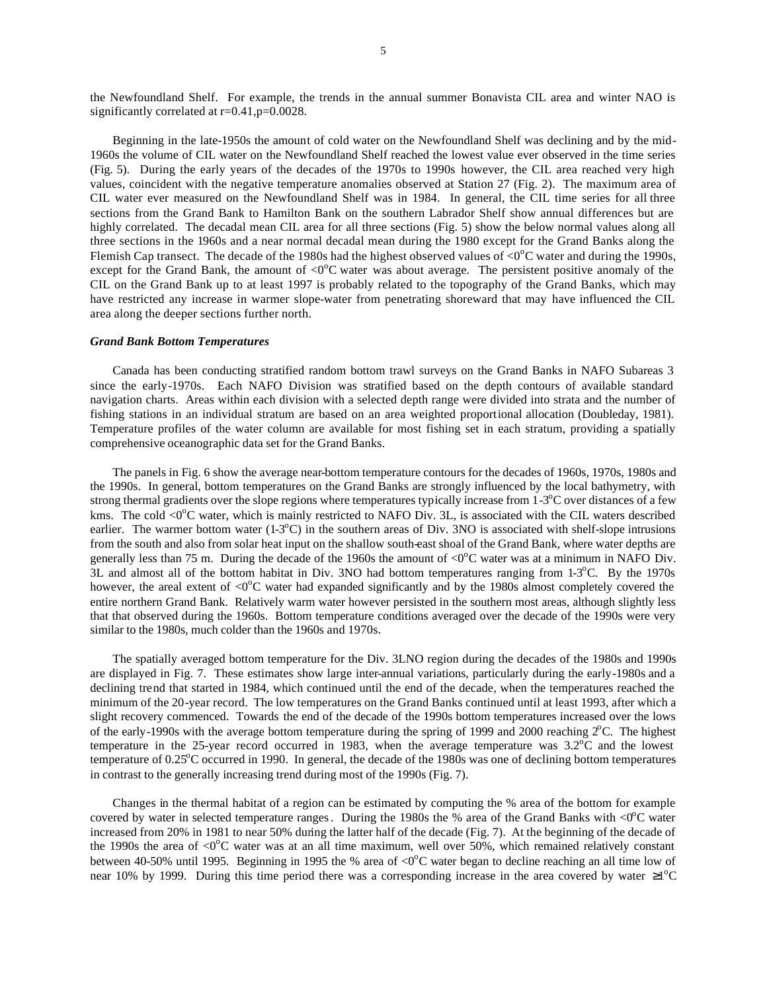the Newfoundland Shelf. For example, the trends in the annual summer Bonavista CIL area and winter NAO is significantly correlated at  $r=0.41$ ,  $p=0.0028$ .

Beginning in the late-1950s the amount of cold water on the Newfoundland Shelf was declining and by the mid-1960s the volume of CIL water on the Newfoundland Shelf reached the lowest value ever observed in the time series (Fig. 5). During the early years of the decades of the 1970s to 1990s however, the CIL area reached very high values, coincident with the negative temperature anomalies observed at Station 27 (Fig. 2). The maximum area of CIL water ever measured on the Newfoundland Shelf was in 1984. In general, the CIL time series for all three sections from the Grand Bank to Hamilton Bank on the southern Labrador Shelf show annual differences but are highly correlated. The decadal mean CIL area for all three sections (Fig. 5) show the below normal values along all three sections in the 1960s and a near normal decadal mean during the 1980 except for the Grand Banks along the Flemish Cap transect. The decade of the 1980s had the highest observed values of  $\langle 0^{\circ}$ C water and during the 1990s, except for the Grand Bank, the amount of  $\langle 0^{\circ}$ C water was about average. The persistent positive anomaly of the CIL on the Grand Bank up to at least 1997 is probably related to the topography of the Grand Banks, which may have restricted any increase in warmer slope-water from penetrating shoreward that may have influenced the CIL area along the deeper sections further north.

### *Grand Bank Bottom Temperatures*

Canada has been conducting stratified random bottom trawl surveys on the Grand Banks in NAFO Subareas 3 since the early-1970s. Each NAFO Division was stratified based on the depth contours of available standard navigation charts. Areas within each division with a selected depth range were divided into strata and the number of fishing stations in an individual stratum are based on an area weighted proportional allocation (Doubleday, 1981). Temperature profiles of the water column are available for most fishing set in each stratum, providing a spatially comprehensive oceanographic data set for the Grand Banks.

The panels in Fig. 6 show the average near-bottom temperature contours for the decades of 1960s, 1970s, 1980s and the 1990s. In general, bottom temperatures on the Grand Banks are strongly influenced by the local bathymetry, with strong thermal gradients over the slope regions where temperatures typically increase from  $1\n-3$ °C over distances of a few kms. The cold  $\langle 0^{\circ}$ C water, which is mainly restricted to NAFO Div. 3L, is associated with the CIL waters described earlier. The warmer bottom water  $(1-3^{\circ}\text{C})$  in the southern areas of Div. 3NO is associated with shelf-slope intrusions from the south and also from solar heat input on the shallow south-east shoal of the Grand Bank, where water depths are generally less than 75 m. During the decade of the 1960s the amount of  $\langle 0^{\circ}$ C water was at a minimum in NAFO Div.  $3L$  and almost all of the bottom habitat in Div. 3NO had bottom temperatures ranging from 1-3 $^{\circ}$ C. By the 1970s however, the areal extent of  $\langle 0^{\circ}C \rangle$  water had expanded significantly and by the 1980s almost completely covered the entire northern Grand Bank. Relatively warm water however persisted in the southern most areas, although slightly less that that observed during the 1960s. Bottom temperature conditions averaged over the decade of the 1990s were very similar to the 1980s, much colder than the 1960s and 1970s.

The spatially averaged bottom temperature for the Div. 3LNO region during the decades of the 1980s and 1990s are displayed in Fig. 7. These estimates show large inter-annual variations, particularly during the early-1980s and a declining trend that started in 1984, which continued until the end of the decade, when the temperatures reached the minimum of the 20-year record. The low temperatures on the Grand Banks continued until at least 1993, after which a slight recovery commenced. Towards the end of the decade of the 1990s bottom temperatures increased over the lows of the early-1990s with the average bottom temperature during the spring of 1999 and 2000 reaching  $2^{\circ}$ C. The highest temperature in the 25-year record occurred in 1983, when the average temperature was  $3.2^{\circ}$ C and the lowest temperature of 0.25<sup>o</sup>C occurred in 1990. In general, the decade of the 1980s was one of declining bottom temperatures in contrast to the generally increasing trend during most of the 1990s (Fig. 7).

Changes in the thermal habitat of a region can be estimated by computing the % area of the bottom for example covered by water in selected temperature ranges. During the 1980s the % area of the Grand Banks with  $\langle 0^{\circ}C \rangle$  water increased from 20% in 1981 to near 50% during the latter half of the decade (Fig. 7). At the beginning of the decade of the 1990s the area of  $\langle 0^{\circ}$ C water was at an all time maximum, well over 50%, which remained relatively constant between 40-50% until 1995. Beginning in 1995 the % area of  $\langle 0^{\circ}C \rangle$  water began to decline reaching an all time low of near 10% by 1999. During this time period there was a corresponding increase in the area covered by water  $\geq 1^{\circ}C$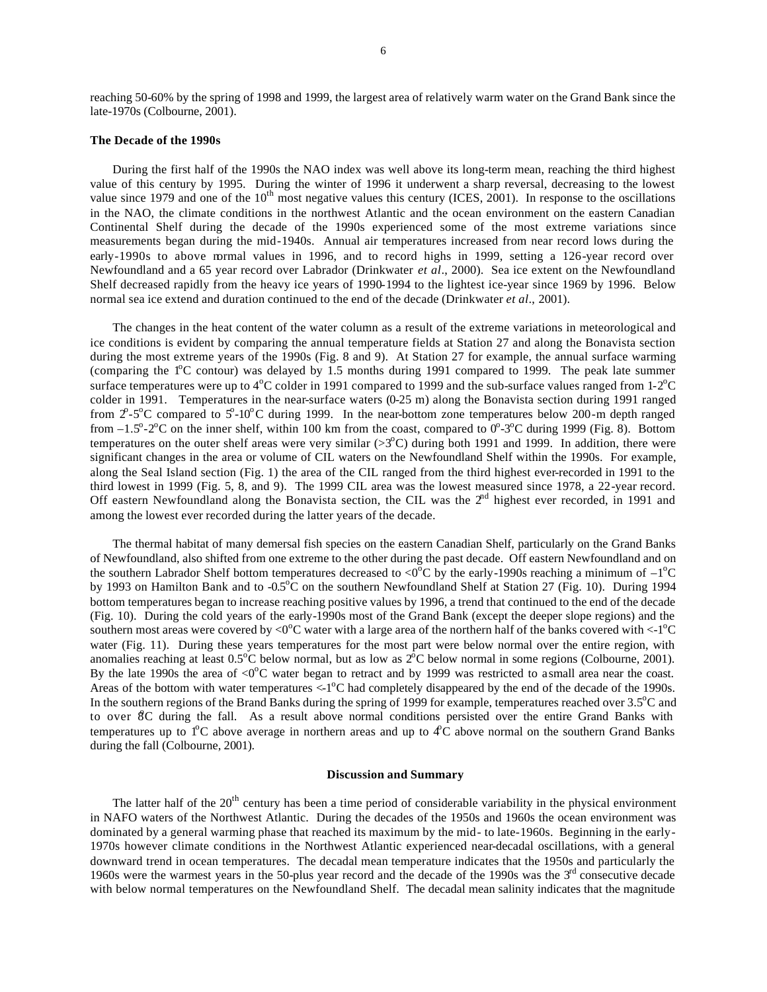### **The Decade of the 1990s**

During the first half of the 1990s the NAO index was well above its long-term mean, reaching the third highest value of this century by 1995. During the winter of 1996 it underwent a sharp reversal, decreasing to the lowest value since 1979 and one of the  $10^{th}$  most negative values this century (ICES, 2001). In response to the oscillations in the NAO, the climate conditions in the northwest Atlantic and the ocean environment on the eastern Canadian Continental Shelf during the decade of the 1990s experienced some of the most extreme variations since measurements began during the mid-1940s. Annual air temperatures increased from near record lows during the early-1990s to above mrmal values in 1996, and to record highs in 1999, setting a 126-year record over Newfoundland and a 65 year record over Labrador (Drinkwater *et al*., 2000). Sea ice extent on the Newfoundland Shelf decreased rapidly from the heavy ice years of 1990-1994 to the lightest ice-year since 1969 by 1996. Below normal sea ice extend and duration continued to the end of the decade (Drinkwater *et al*., 2001).

The changes in the heat content of the water column as a result of the extreme variations in meteorological and ice conditions is evident by comparing the annual temperature fields at Station 27 and along the Bonavista section during the most extreme years of the 1990s (Fig. 8 and 9). At Station 27 for example, the annual surface warming (comparing the  $1^{\circ}$ C contour) was delayed by 1.5 months during 1991 compared to 1999. The peak late summer surface temperatures were up to  $4^{\circ}$ C colder in 1991 compared to 1999 and the sub-surface values ranged from 1-2 $^{\circ}$ C colder in 1991. Temperatures in the near-surface waters (0-25 m) along the Bonavista section during 1991 ranged from  $2^{\circ}$ -5°C compared to  $5^{\circ}$ -10°C during 1999. In the near-bottom zone temperatures below 200-m depth ranged from  $-1.5^{\circ}$ -2 $^{\circ}$ C on the inner shelf, within 100 km from the coast, compared to  $0^{\circ}$ -3 $^{\circ}$ C during 1999 (Fig. 8). Bottom temperatures on the outer shelf areas were very similar  $(>3^{\circ}C)$  during both 1991 and 1999. In addition, there were significant changes in the area or volume of CIL waters on the Newfoundland Shelf within the 1990s. For example, along the Seal Island section (Fig. 1) the area of the CIL ranged from the third highest ever-recorded in 1991 to the third lowest in 1999 (Fig. 5, 8, and 9). The 1999 CIL area was the lowest measured since 1978, a 22-year record. Off eastern Newfoundland along the Bonavista section, the CIL was the  $2<sup>nd</sup>$  highest ever recorded, in 1991 and among the lowest ever recorded during the latter years of the decade.

The thermal habitat of many demersal fish species on the eastern Canadian Shelf, particularly on the Grand Banks of Newfoundland, also shifted from one extreme to the other during the past decade. Off eastern Newfoundland and on the southern Labrador Shelf bottom temperatures decreased to <0 $^{\circ}$ C by the early-1990s reaching a minimum of  $-1^{\circ}$ C by 1993 on Hamilton Bank and to -0.5<sup>o</sup>C on the southern Newfoundland Shelf at Station 27 (Fig. 10). During 1994 bottom temperatures began to increase reaching positive values by 1996, a trend that continued to the end of the decade (Fig. 10). During the cold years of the early-1990s most of the Grand Bank (except the deeper slope regions) and the southern most areas were covered by <0 $^{\circ}$ C water with a large area of the northern half of the banks covered with <-1 $^{\circ}$ C water (Fig. 11). During these years temperatures for the most part were below normal over the entire region, with anomalies reaching at least  $0.5^{\circ}$ C below normal, but as low as  $2^{\circ}$ C below normal in some regions (Colbourne, 2001). By the late 1990s the area of  $< 0^{\circ}$ C water began to retract and by 1999 was restricted to asmall area near the coast. Areas of the bottom with water temperatures  $\langle -1^{\circ}C \rangle$  had completely disappeared by the end of the decade of the 1990s. In the southern regions of the Brand Banks during the spring of 1999 for example, temperatures reached over  $3.5^{\circ}$ C and to over 8C during the fall. As a result above normal conditions persisted over the entire Grand Banks with temperatures up to  $1^{\circ}C$  above average in northern areas and up to  $4^{\circ}C$  above normal on the southern Grand Banks during the fall (Colbourne, 2001).

## **Discussion and Summary**

The latter half of the 20<sup>th</sup> century has been a time period of considerable variability in the physical environment in NAFO waters of the Northwest Atlantic. During the decades of the 1950s and 1960s the ocean environment was dominated by a general warming phase that reached its maximum by the mid- to late-1960s. Beginning in the early-1970s however climate conditions in the Northwest Atlantic experienced near-decadal oscillations, with a general downward trend in ocean temperatures. The decadal mean temperature indicates that the 1950s and particularly the 1960s were the warmest years in the 50-plus year record and the decade of the 1990s was the 3<sup>rd</sup> consecutive decade with below normal temperatures on the Newfoundland Shelf. The decadal mean salinity indicates that the magnitude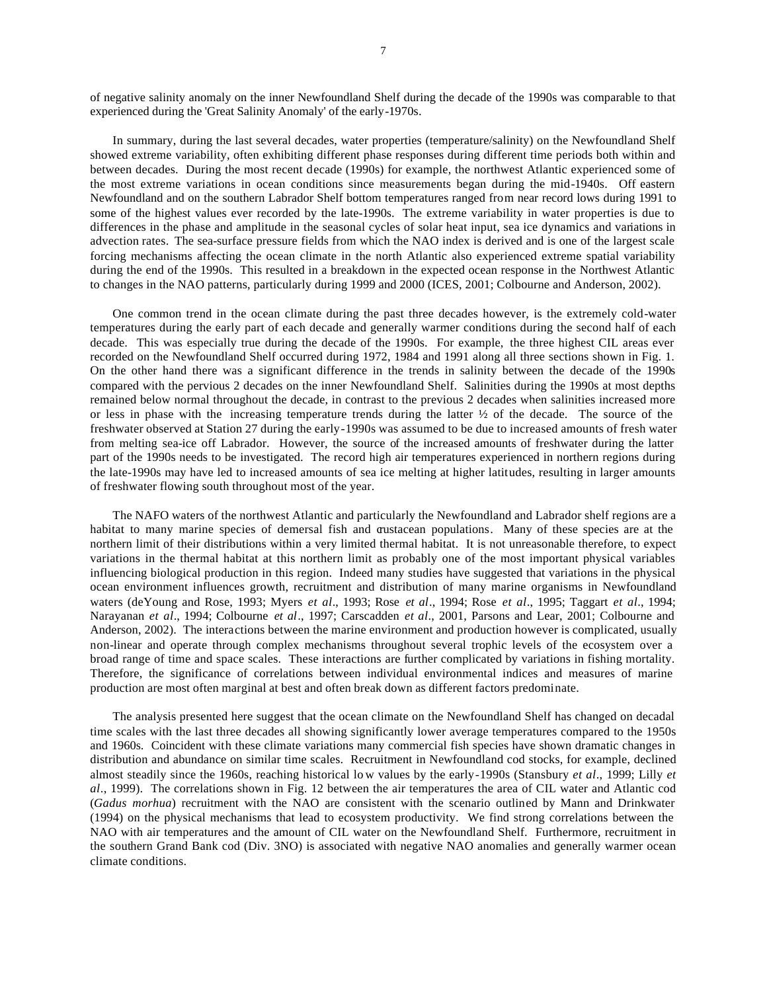of negative salinity anomaly on the inner Newfoundland Shelf during the decade of the 1990s was comparable to that experienced during the 'Great Salinity Anomaly' of the early-1970s.

In summary, during the last several decades, water properties (temperature/salinity) on the Newfoundland Shelf showed extreme variability, often exhibiting different phase responses during different time periods both within and between decades. During the most recent decade (1990s) for example, the northwest Atlantic experienced some of the most extreme variations in ocean conditions since measurements began during the mid-1940s. Off eastern Newfoundland and on the southern Labrador Shelf bottom temperatures ranged from near record lows during 1991 to some of the highest values ever recorded by the late-1990s. The extreme variability in water properties is due to differences in the phase and amplitude in the seasonal cycles of solar heat input, sea ice dynamics and variations in advection rates. The sea-surface pressure fields from which the NAO index is derived and is one of the largest scale forcing mechanisms affecting the ocean climate in the north Atlantic also experienced extreme spatial variability during the end of the 1990s. This resulted in a breakdown in the expected ocean response in the Northwest Atlantic to changes in the NAO patterns, particularly during 1999 and 2000 (ICES, 2001; Colbourne and Anderson, 2002).

One common trend in the ocean climate during the past three decades however, is the extremely cold-water temperatures during the early part of each decade and generally warmer conditions during the second half of each decade. This was especially true during the decade of the 1990s. For example, the three highest CIL areas ever recorded on the Newfoundland Shelf occurred during 1972, 1984 and 1991 along all three sections shown in Fig. 1. On the other hand there was a significant difference in the trends in salinity between the decade of the 1990s compared with the pervious 2 decades on the inner Newfoundland Shelf. Salinities during the 1990s at most depths remained below normal throughout the decade, in contrast to the previous 2 decades when salinities increased more or less in phase with the increasing temperature trends during the latter  $\frac{1}{2}$  of the decade. The source of the freshwater observed at Station 27 during the early-1990s was assumed to be due to increased amounts of fresh water from melting sea-ice off Labrador. However, the source of the increased amounts of freshwater during the latter part of the 1990s needs to be investigated. The record high air temperatures experienced in northern regions during the late-1990s may have led to increased amounts of sea ice melting at higher latitudes, resulting in larger amounts of freshwater flowing south throughout most of the year.

The NAFO waters of the northwest Atlantic and particularly the Newfoundland and Labrador shelf regions are a habitat to many marine species of demersal fish and crustacean populations. Many of these species are at the northern limit of their distributions within a very limited thermal habitat. It is not unreasonable therefore, to expect variations in the thermal habitat at this northern limit as probably one of the most important physical variables influencing biological production in this region. Indeed many studies have suggested that variations in the physical ocean environment influences growth, recruitment and distribution of many marine organisms in Newfoundland waters (deYoung and Rose, 1993; Myers *et al*., 1993; Rose *et al*., 1994; Rose *et al*., 1995; Taggart *et al*., 1994; Narayanan *et al*., 1994; Colbourne *et al*., 1997; Carscadden *et al*., 2001, Parsons and Lear, 2001; Colbourne and Anderson, 2002). The interactions between the marine environment and production however is complicated, usually non-linear and operate through complex mechanisms throughout several trophic levels of the ecosystem over a broad range of time and space scales. These interactions are further complicated by variations in fishing mortality. Therefore, the significance of correlations between individual environmental indices and measures of marine production are most often marginal at best and often break down as different factors predominate.

The analysis presented here suggest that the ocean climate on the Newfoundland Shelf has changed on decadal time scales with the last three decades all showing significantly lower average temperatures compared to the 1950s and 1960s. Coincident with these climate variations many commercial fish species have shown dramatic changes in distribution and abundance on similar time scales. Recruitment in Newfoundland cod stocks, for example, declined almost steadily since the 1960s, reaching historical lo w values by the early-1990s (Stansbury *et al*., 1999; Lilly *et al*., 1999). The correlations shown in Fig. 12 between the air temperatures the area of CIL water and Atlantic cod (*Gadus morhua*) recruitment with the NAO are consistent with the scenario outlined by Mann and Drinkwater (1994) on the physical mechanisms that lead to ecosystem productivity. We find strong correlations between the NAO with air temperatures and the amount of CIL water on the Newfoundland Shelf. Furthermore, recruitment in the southern Grand Bank cod (Div. 3NO) is associated with negative NAO anomalies and generally warmer ocean climate conditions.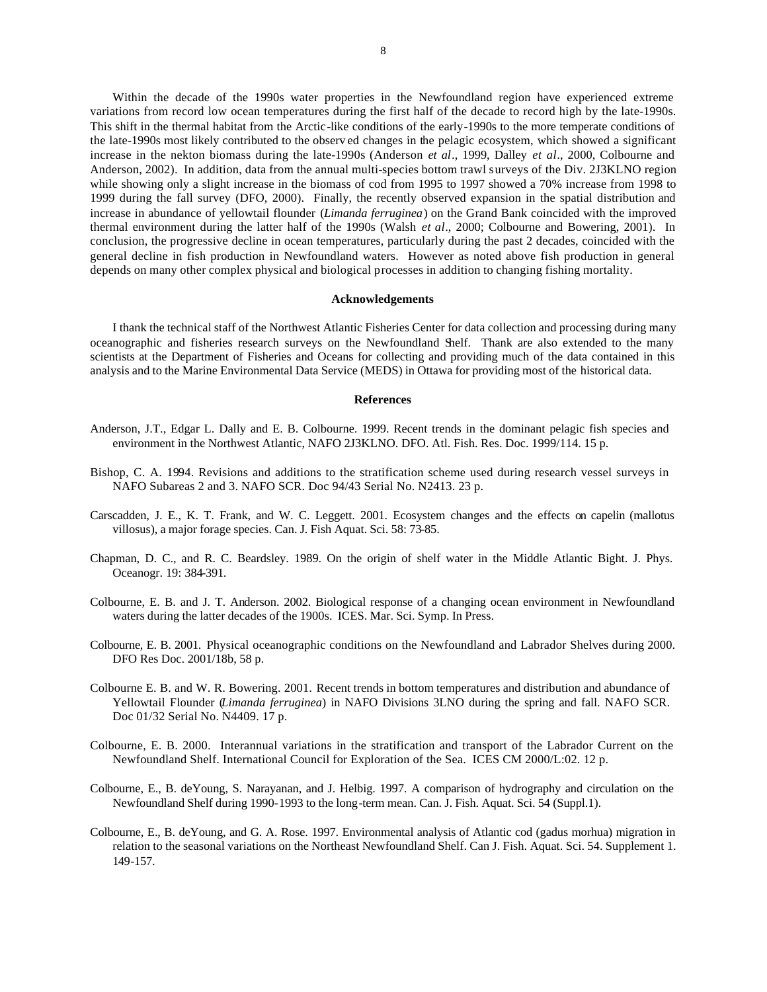Within the decade of the 1990s water properties in the Newfoundland region have experienced extreme variations from record low ocean temperatures during the first half of the decade to record high by the late-1990s. This shift in the thermal habitat from the Arctic-like conditions of the early-1990s to the more temperate conditions of the late-1990s most likely contributed to the observ ed changes in the pelagic ecosystem, which showed a significant increase in the nekton biomass during the late-1990s (Anderson *et al*., 1999, Dalley *et al*., 2000, Colbourne and Anderson, 2002). In addition, data from the annual multi-species bottom trawl surveys of the Div. 2J3KLNO region while showing only a slight increase in the biomass of cod from 1995 to 1997 showed a 70% increase from 1998 to 1999 during the fall survey (DFO, 2000). Finally, the recently observed expansion in the spatial distribution and increase in abundance of yellowtail flounder (*Limanda ferruginea*) on the Grand Bank coincided with the improved thermal environment during the latter half of the 1990s (Walsh *et al*., 2000; Colbourne and Bowering, 2001). In conclusion, the progressive decline in ocean temperatures, particularly during the past 2 decades, coincided with the general decline in fish production in Newfoundland waters. However as noted above fish production in general depends on many other complex physical and biological processes in addition to changing fishing mortality.

## **Acknowledgements**

I thank the technical staff of the Northwest Atlantic Fisheries Center for data collection and processing during many oceanographic and fisheries research surveys on the Newfoundland Shelf. Thank are also extended to the many scientists at the Department of Fisheries and Oceans for collecting and providing much of the data contained in this analysis and to the Marine Environmental Data Service (MEDS) in Ottawa for providing most of the historical data.

### **References**

- Anderson, J.T., Edgar L. Dally and E. B. Colbourne. 1999. Recent trends in the dominant pelagic fish species and environment in the Northwest Atlantic, NAFO 2J3KLNO. DFO. Atl. Fish. Res. Doc. 1999/114. 15 p.
- Bishop, C. A. 1994. Revisions and additions to the stratification scheme used during research vessel surveys in NAFO Subareas 2 and 3. NAFO SCR. Doc 94/43 Serial No. N2413. 23 p.
- Carscadden, J. E., K. T. Frank, and W. C. Leggett. 2001. Ecosystem changes and the effects on capelin (mallotus villosus), a major forage species. Can. J. Fish Aquat. Sci. 58: 73-85.
- Chapman, D. C., and R. C. Beardsley. 1989. On the origin of shelf water in the Middle Atlantic Bight. J. Phys. Oceanogr. 19: 384-391.
- Colbourne, E. B. and J. T. Anderson. 2002. Biological response of a changing ocean environment in Newfoundland waters during the latter decades of the 1900s. ICES. Mar. Sci. Symp. In Press.
- Colbourne, E. B. 2001. Physical oceanographic conditions on the Newfoundland and Labrador Shelves during 2000. DFO Res Doc. 2001/18b, 58 p.
- Colbourne E. B. and W. R. Bowering. 2001. Recent trends in bottom temperatures and distribution and abundance of Yellowtail Flounder (*Limanda ferruginea*) in NAFO Divisions 3LNO during the spring and fall. NAFO SCR. Doc 01/32 Serial No. N4409. 17 p.
- Colbourne, E. B. 2000. Interannual variations in the stratification and transport of the Labrador Current on the Newfoundland Shelf. International Council for Exploration of the Sea. ICES CM 2000/L:02. 12 p.
- Colbourne, E., B. deYoung, S. Narayanan, and J. Helbig. 1997. A comparison of hydrography and circulation on the Newfoundland Shelf during 1990-1993 to the long-term mean. Can. J. Fish. Aquat. Sci. 54 (Suppl.1).
- Colbourne, E., B. deYoung, and G. A. Rose. 1997. Environmental analysis of Atlantic cod (gadus morhua) migration in relation to the seasonal variations on the Northeast Newfoundland Shelf. Can J. Fish. Aquat. Sci. 54. Supplement 1. 149-157.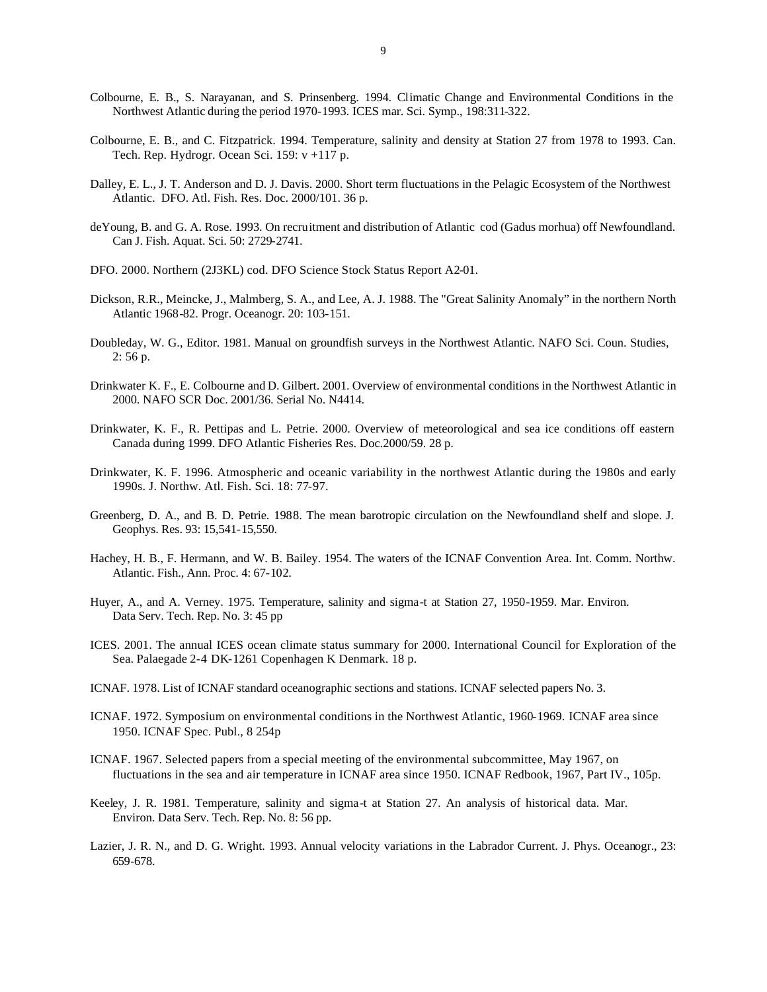- Colbourne, E. B., S. Narayanan, and S. Prinsenberg. 1994. Climatic Change and Environmental Conditions in the Northwest Atlantic during the period 1970-1993. ICES mar. Sci. Symp., 198:311-322.
- Colbourne, E. B., and C. Fitzpatrick. 1994. Temperature, salinity and density at Station 27 from 1978 to 1993. Can. Tech. Rep. Hydrogr. Ocean Sci. 159: v +117 p.
- Dalley, E. L., J. T. Anderson and D. J. Davis. 2000. Short term fluctuations in the Pelagic Ecosystem of the Northwest Atlantic. DFO. Atl. Fish. Res. Doc. 2000/101. 36 p.
- deYoung, B. and G. A. Rose. 1993. On recruitment and distribution of Atlantic cod (Gadus morhua) off Newfoundland. Can J. Fish. Aquat. Sci. 50: 2729-2741.
- DFO. 2000. Northern (2J3KL) cod. DFO Science Stock Status Report A2-01.
- Dickson, R.R., Meincke, J., Malmberg, S. A., and Lee, A. J. 1988. The "Great Salinity Anomaly" in the northern North Atlantic 1968-82. Progr. Oceanogr. 20: 103-151.
- Doubleday, W. G., Editor. 1981. Manual on groundfish surveys in the Northwest Atlantic. NAFO Sci. Coun. Studies, 2: 56 p.
- Drinkwater K. F., E. Colbourne and D. Gilbert. 2001. Overview of environmental conditions in the Northwest Atlantic in 2000. NAFO SCR Doc. 2001/36. Serial No. N4414.
- Drinkwater, K. F., R. Pettipas and L. Petrie. 2000. Overview of meteorological and sea ice conditions off eastern Canada during 1999. DFO Atlantic Fisheries Res. Doc.2000/59. 28 p.
- Drinkwater, K. F. 1996. Atmospheric and oceanic variability in the northwest Atlantic during the 1980s and early 1990s. J. Northw. Atl. Fish. Sci. 18: 77-97.
- Greenberg, D. A., and B. D. Petrie. 1988. The mean barotropic circulation on the Newfoundland shelf and slope. J. Geophys. Res. 93: 15,541-15,550.
- Hachey, H. B., F. Hermann, and W. B. Bailey. 1954. The waters of the ICNAF Convention Area. Int. Comm. Northw. Atlantic. Fish., Ann. Proc. 4: 67-102.
- Huyer, A., and A. Verney. 1975. Temperature, salinity and sigma-t at Station 27, 1950-1959. Mar. Environ. Data Serv. Tech. Rep. No. 3: 45 pp
- ICES. 2001. The annual ICES ocean climate status summary for 2000. International Council for Exploration of the Sea. Palaegade 2-4 DK-1261 Copenhagen K Denmark. 18 p.
- ICNAF. 1978. List of ICNAF standard oceanographic sections and stations. ICNAF selected papers No. 3.
- ICNAF. 1972. Symposium on environmental conditions in the Northwest Atlantic, 1960-1969. ICNAF area since 1950. ICNAF Spec. Publ., 8 254p
- ICNAF. 1967. Selected papers from a special meeting of the environmental subcommittee, May 1967, on fluctuations in the sea and air temperature in ICNAF area since 1950. ICNAF Redbook, 1967, Part IV., 105p.
- Keeley, J. R. 1981. Temperature, salinity and sigma-t at Station 27. An analysis of historical data. Mar. Environ. Data Serv. Tech. Rep. No. 8: 56 pp.
- Lazier, J. R. N., and D. G. Wright. 1993. Annual velocity variations in the Labrador Current. J. Phys. Oceanogr., 23: 659-678.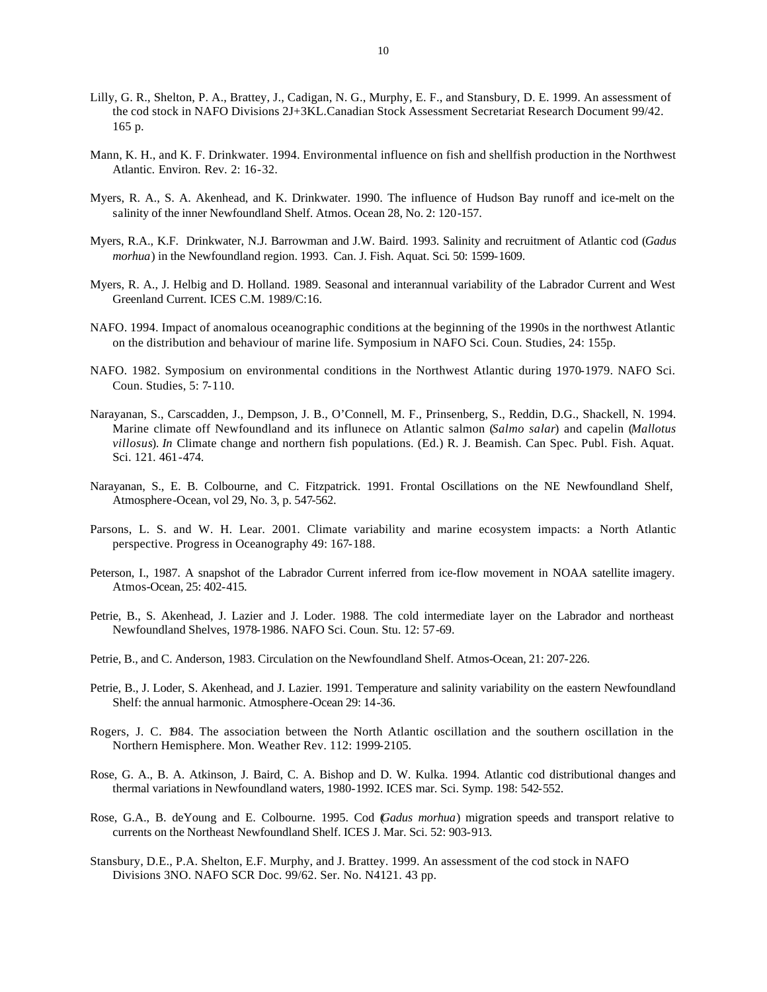- Lilly, G. R., Shelton, P. A., Brattey, J., Cadigan, N. G., Murphy, E. F., and Stansbury, D. E. 1999. An assessment of the cod stock in NAFO Divisions 2J+3KL.Canadian Stock Assessment Secretariat Research Document 99/42. 165 p.
- Mann, K. H., and K. F. Drinkwater. 1994. Environmental influence on fish and shellfish production in the Northwest Atlantic. Environ. Rev. 2: 16-32.
- Myers, R. A., S. A. Akenhead, and K. Drinkwater. 1990. The influence of Hudson Bay runoff and ice-melt on the salinity of the inner Newfoundland Shelf. Atmos. Ocean 28, No. 2: 120-157.
- Myers, R.A., K.F. Drinkwater, N.J. Barrowman and J.W. Baird. 1993. Salinity and recruitment of Atlantic cod (*Gadus morhua*) in the Newfoundland region. 1993. Can. J. Fish. Aquat. Sci. 50: 1599-1609.
- Myers, R. A., J. Helbig and D. Holland. 1989. Seasonal and interannual variability of the Labrador Current and West Greenland Current. ICES C.M. 1989/C:16.
- NAFO. 1994. Impact of anomalous oceanographic conditions at the beginning of the 1990s in the northwest Atlantic on the distribution and behaviour of marine life. Symposium in NAFO Sci. Coun. Studies, 24: 155p.
- NAFO. 1982. Symposium on environmental conditions in the Northwest Atlantic during 1970-1979. NAFO Sci. Coun. Studies, 5: 7-110.
- Narayanan, S., Carscadden, J., Dempson, J. B., O'Connell, M. F., Prinsenberg, S., Reddin, D.G., Shackell, N. 1994. Marine climate off Newfoundland and its influnece on Atlantic salmon (*Salmo salar*) and capelin (*Mallotus villosus*). *In* Climate change and northern fish populations. (Ed.) R. J. Beamish. Can Spec. Publ. Fish. Aquat. Sci. 121. 461-474.
- Narayanan, S., E. B. Colbourne, and C. Fitzpatrick. 1991. Frontal Oscillations on the NE Newfoundland Shelf, Atmosphere-Ocean, vol 29, No. 3, p. 547-562.
- Parsons, L. S. and W. H. Lear. 2001. Climate variability and marine ecosystem impacts: a North Atlantic perspective. Progress in Oceanography 49: 167-188.
- Peterson, I., 1987. A snapshot of the Labrador Current inferred from ice-flow movement in NOAA satellite imagery. Atmos-Ocean, 25: 402-415.
- Petrie, B., S. Akenhead, J. Lazier and J. Loder. 1988. The cold intermediate layer on the Labrador and northeast Newfoundland Shelves, 1978-1986. NAFO Sci. Coun. Stu. 12: 57-69.
- Petrie, B., and C. Anderson, 1983. Circulation on the Newfoundland Shelf. Atmos-Ocean, 21: 207-226.
- Petrie, B., J. Loder, S. Akenhead, and J. Lazier. 1991. Temperature and salinity variability on the eastern Newfoundland Shelf: the annual harmonic. Atmosphere-Ocean 29: 14-36.
- Rogers, J. C. 1984. The association between the North Atlantic oscillation and the southern oscillation in the Northern Hemisphere. Mon. Weather Rev. 112: 1999-2105.
- Rose, G. A., B. A. Atkinson, J. Baird, C. A. Bishop and D. W. Kulka. 1994. Atlantic cod distributional changes and thermal variations in Newfoundland waters, 1980-1992. ICES mar. Sci. Symp. 198: 542-552.
- Rose, G.A., B. deYoung and E. Colbourne. 1995. Cod (*Gadus morhua*) migration speeds and transport relative to currents on the Northeast Newfoundland Shelf. ICES J. Mar. Sci. 52: 903-913.
- Stansbury, D.E., P.A. Shelton, E.F. Murphy, and J. Brattey. 1999. An assessment of the cod stock in NAFO Divisions 3NO. NAFO SCR Doc. 99/62. Ser. No. N4121. 43 pp.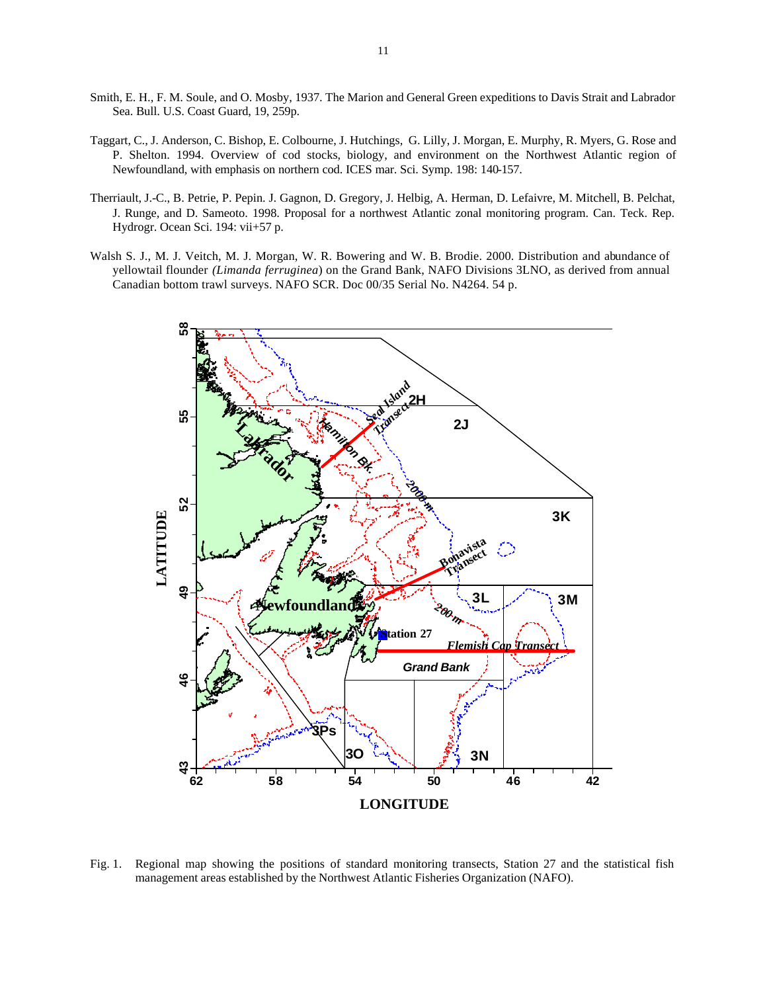- Smith, E. H., F. M. Soule, and O. Mosby, 1937. The Marion and General Green expeditions to Davis Strait and Labrador Sea. Bull. U.S. Coast Guard, 19, 259p.
- Taggart, C., J. Anderson, C. Bishop, E. Colbourne, J. Hutchings, G. Lilly, J. Morgan, E. Murphy, R. Myers, G. Rose and P. Shelton. 1994. Overview of cod stocks, biology, and environment on the Northwest Atlantic region of Newfoundland, with emphasis on northern cod. ICES mar. Sci. Symp. 198: 140-157.
- Therriault, J.-C., B. Petrie, P. Pepin. J. Gagnon, D. Gregory, J. Helbig, A. Herman, D. Lefaivre, M. Mitchell, B. Pelchat, J. Runge, and D. Sameoto. 1998. Proposal for a northwest Atlantic zonal monitoring program. Can. Teck. Rep. Hydrogr. Ocean Sci. 194: vii+57 p.
- Walsh S. J., M. J. Veitch, M. J. Morgan, W. R. Bowering and W. B. Brodie. 2000. Distribution and abundance of yellowtail flounder *(Limanda ferruginea*) on the Grand Bank, NAFO Divisions 3LNO, as derived from annual Canadian bottom trawl surveys. NAFO SCR. Doc 00/35 Serial No. N4264. 54 p.



Fig. 1. Regional map showing the positions of standard monitoring transects, Station 27 and the statistical fish management areas established by the Northwest Atlantic Fisheries Organization (NAFO).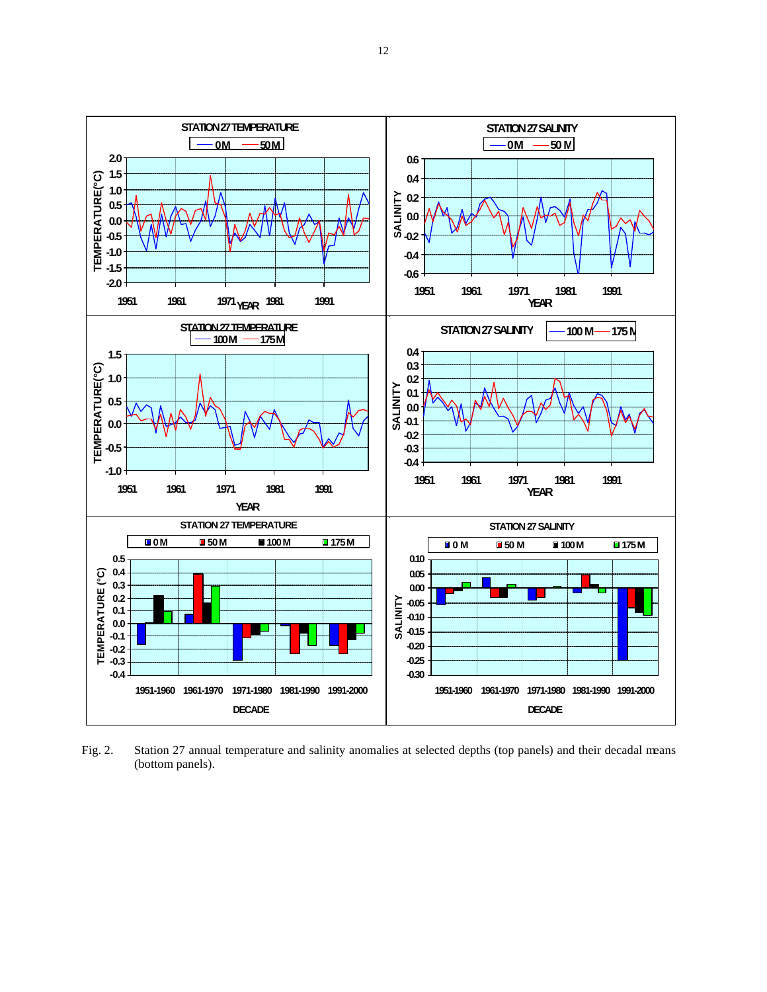

Fig. 2. Station 27 annual temperature and salinity anomalies at selected depths (top panels) and their decadal means (bottom panels).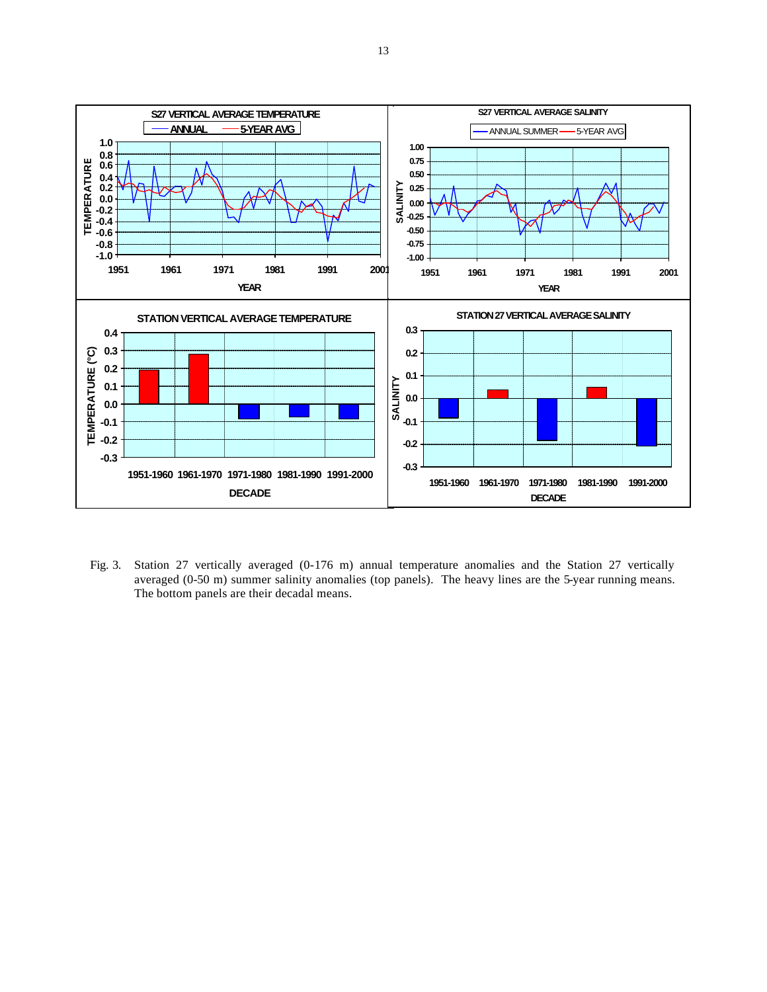

Fig. 3. Station 27 vertically averaged (0-176 m) annual temperature anomalies and the Station 27 vertically averaged (0-50 m) summer salinity anomalies (top panels). The heavy lines are the 5-year running means. The bottom panels are their decadal means.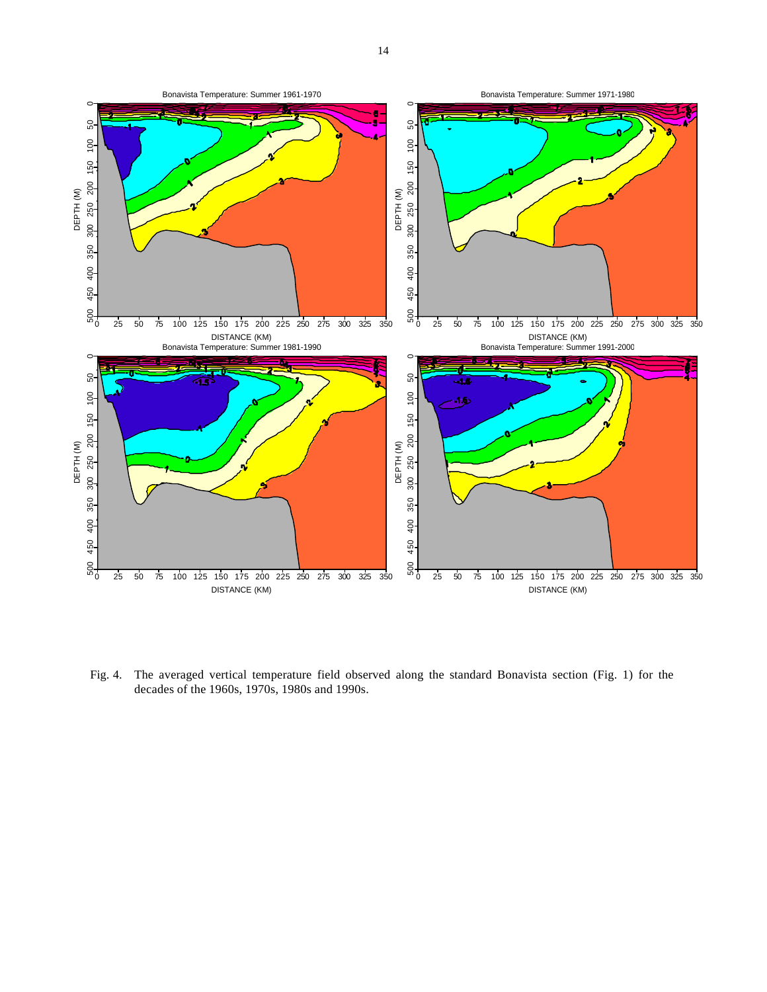

Fig. 4. The averaged vertical temperature field observed along the standard Bonavista section (Fig. 1) for the decades of the 1960s, 1970s, 1980s and 1990s.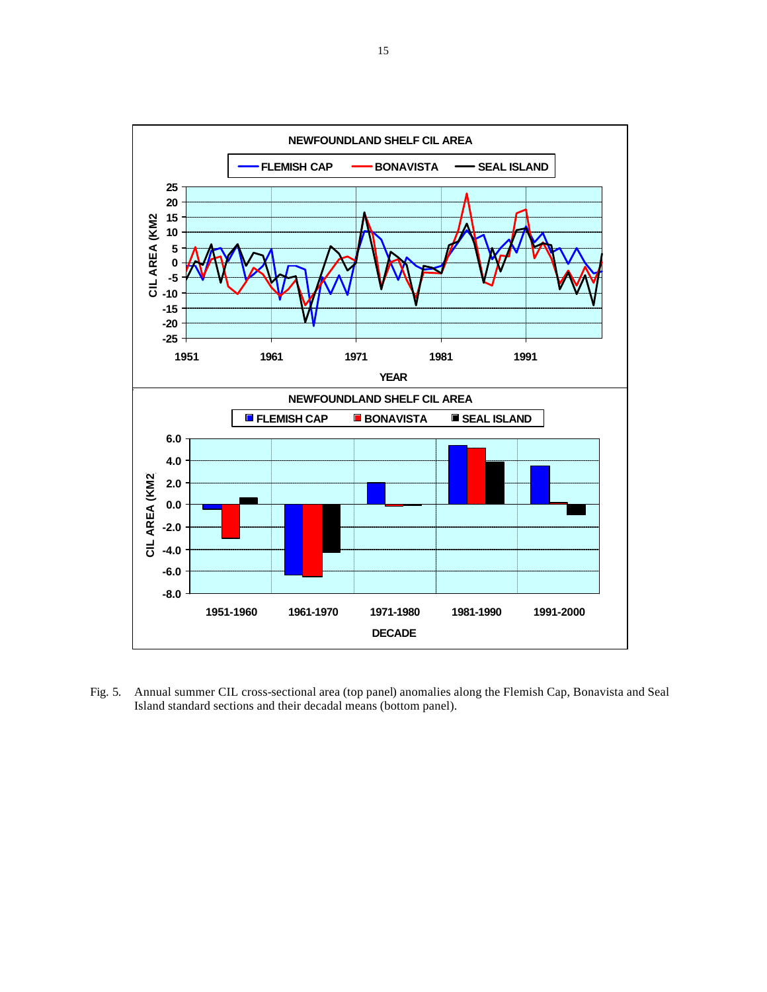

Fig. 5. Annual summer CIL cross-sectional area (top panel) anomalies along the Flemish Cap, Bonavista and Seal Island standard sections and their decadal means (bottom panel).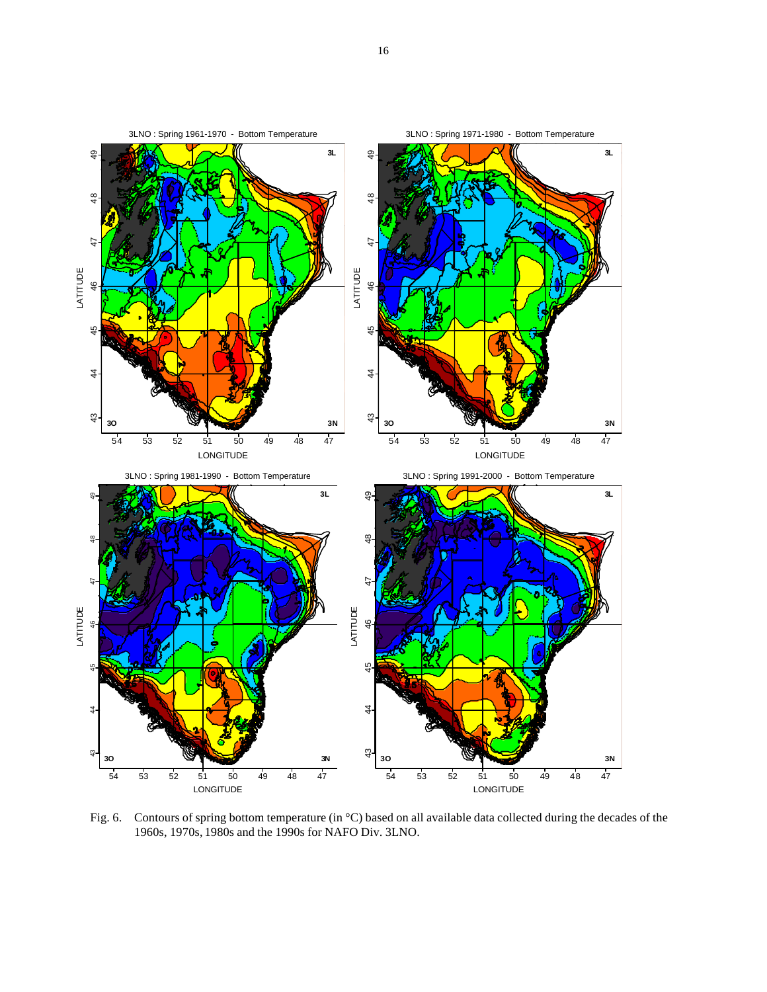

Fig. 6. Contours of spring bottom temperature (in °C) based on all available data collected during the decades of the 1960s, 1970s, 1980s and the 1990s for NAFO Div. 3LNO.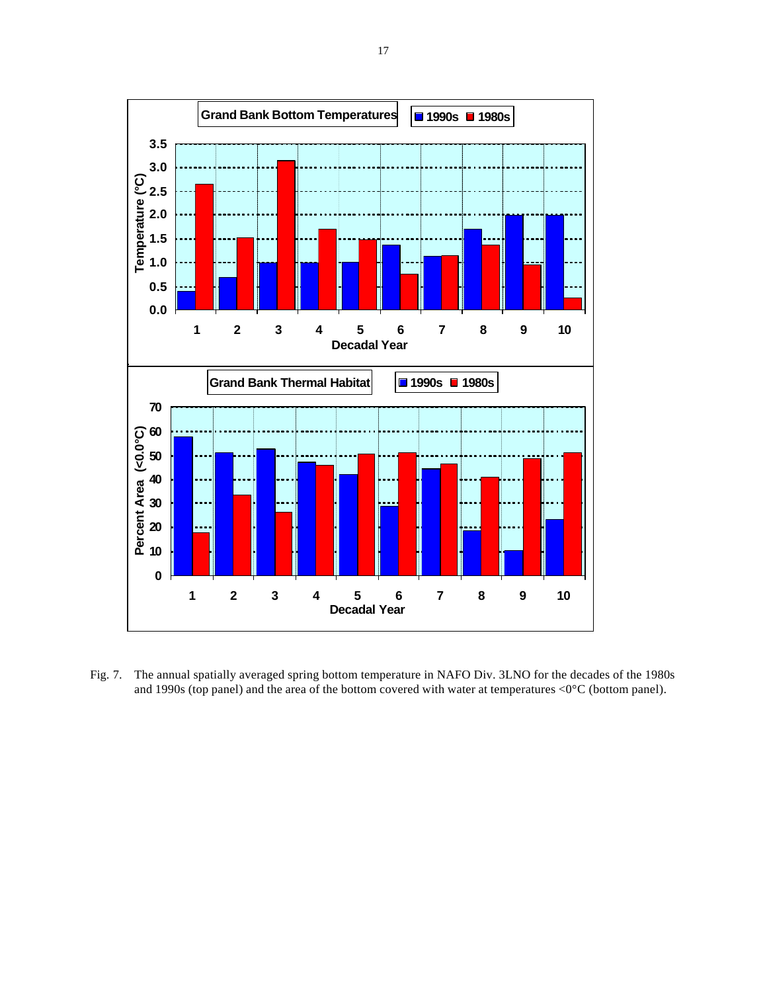

Fig. 7. The annual spatially averaged spring bottom temperature in NAFO Div. 3LNO for the decades of the 1980s and 1990s (top panel) and the area of the bottom covered with water at temperatures <0°C (bottom panel).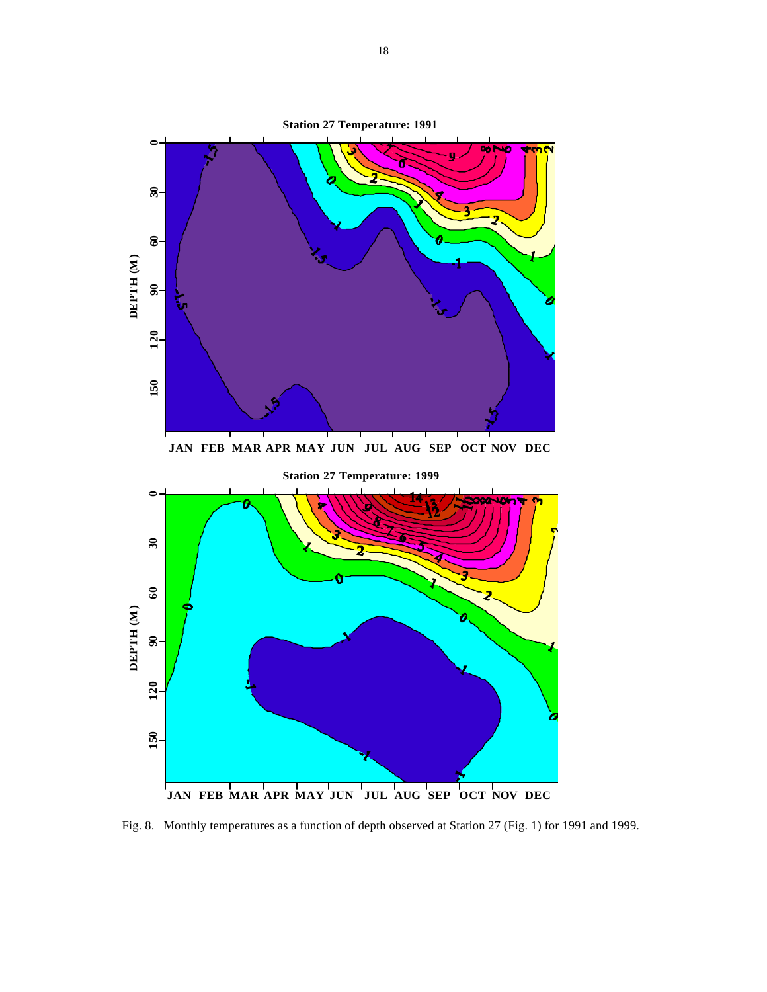

Fig. 8. Monthly temperatures as a function of depth observed at Station 27 (Fig. 1) for 1991 and 1999.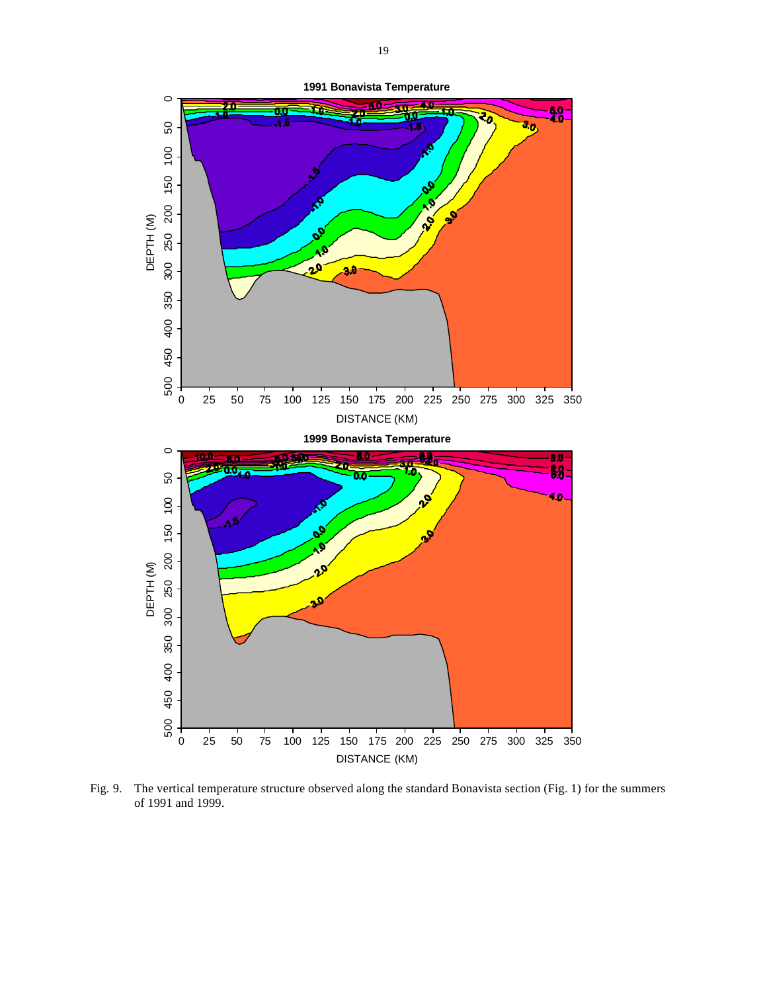

Fig. 9. The vertical temperature structure observed along the standard Bonavista section (Fig. 1) for the summers of 1991 and 1999.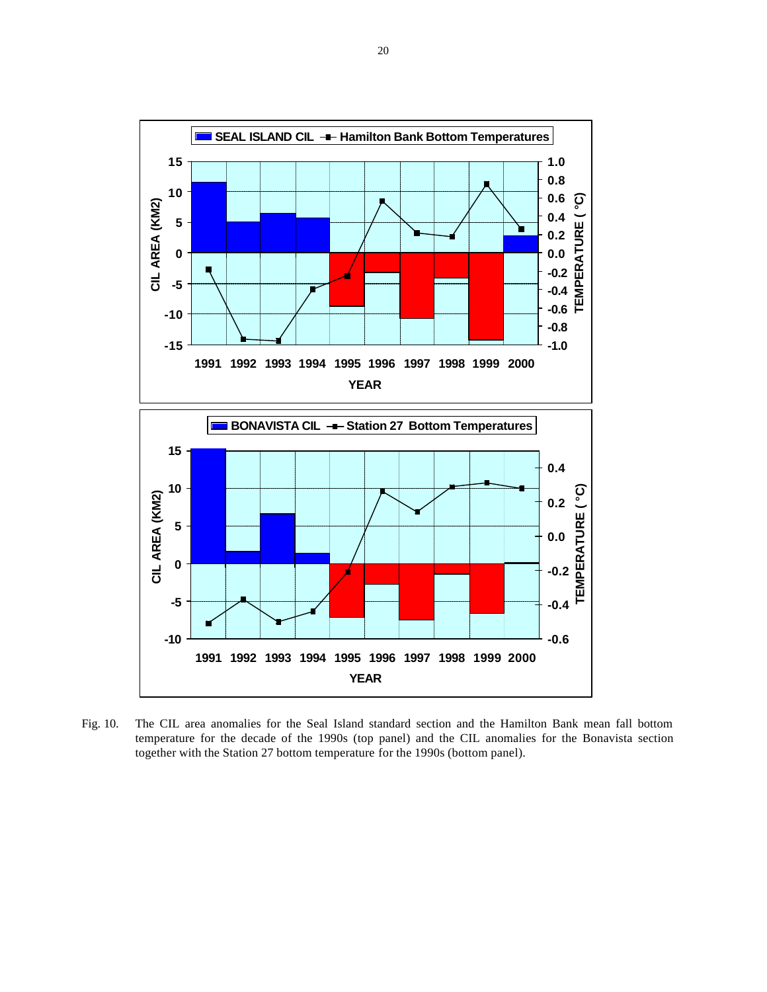

Fig. 10. The CIL area anomalies for the Seal Island standard section and the Hamilton Bank mean fall bottom temperature for the decade of the 1990s (top panel) and the CIL anomalies for the Bonavista section together with the Station 27 bottom temperature for the 1990s (bottom panel).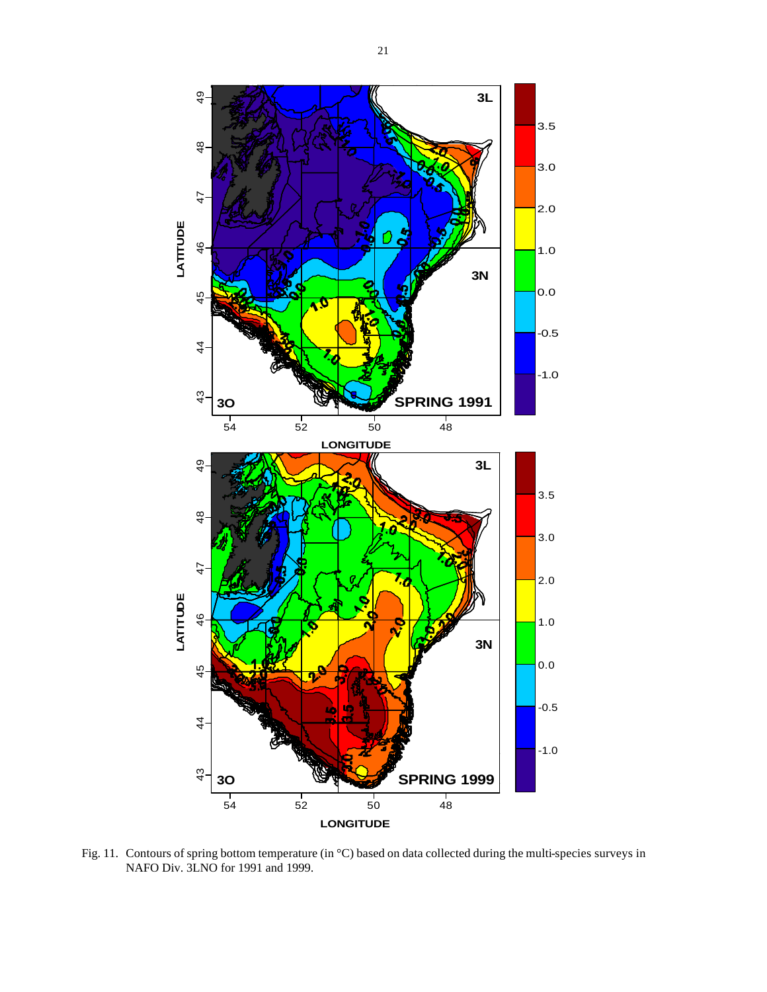

Fig. 11. Contours of spring bottom temperature (in °C) based on data collected during the multi-species surveys in NAFO Div. 3LNO for 1991 and 1999.